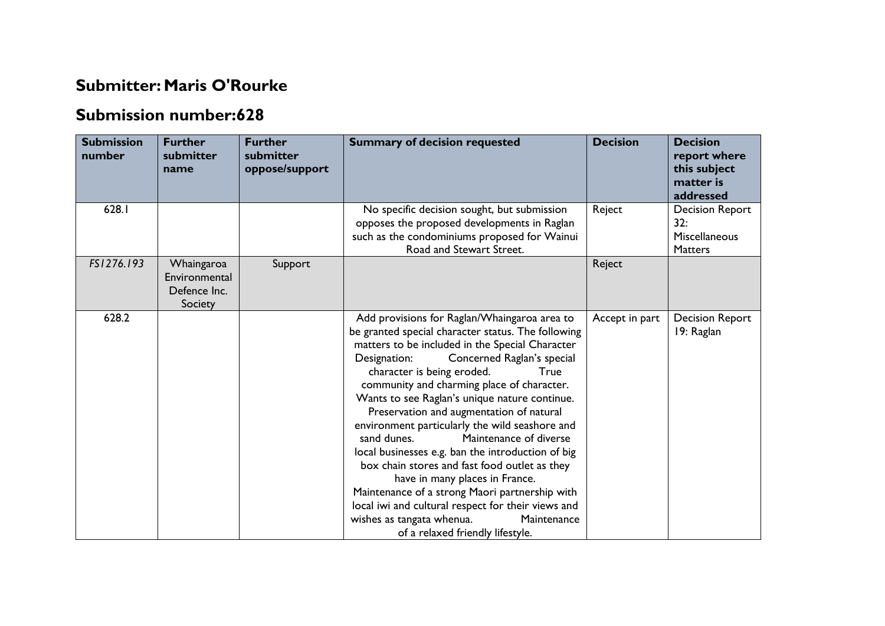## **Submitter: Maris O'Rourke**

## **Submission number:628**

| <b>Submission</b><br>number | <b>Further</b><br>submitter<br>name                    | <b>Further</b><br>submitter<br>oppose/support | <b>Summary of decision requested</b>                                                                                                                                                                                                                                                                                                                                                                                                                                                                                                                                                                                                                                                                                                                                                                            | <b>Decision</b> | <b>Decision</b><br>report where<br>this subject<br>matter is<br>addressed |
|-----------------------------|--------------------------------------------------------|-----------------------------------------------|-----------------------------------------------------------------------------------------------------------------------------------------------------------------------------------------------------------------------------------------------------------------------------------------------------------------------------------------------------------------------------------------------------------------------------------------------------------------------------------------------------------------------------------------------------------------------------------------------------------------------------------------------------------------------------------------------------------------------------------------------------------------------------------------------------------------|-----------------|---------------------------------------------------------------------------|
| 628.1                       |                                                        |                                               | No specific decision sought, but submission<br>opposes the proposed developments in Raglan<br>such as the condominiums proposed for Wainui<br>Road and Stewart Street.                                                                                                                                                                                                                                                                                                                                                                                                                                                                                                                                                                                                                                          | Reject          | <b>Decision Report</b><br>32:<br><b>Miscellaneous</b><br><b>Matters</b>   |
| FS1276.193                  | Whaingaroa<br>Environmental<br>Defence Inc.<br>Society | Support                                       |                                                                                                                                                                                                                                                                                                                                                                                                                                                                                                                                                                                                                                                                                                                                                                                                                 | Reject          |                                                                           |
| 628.2                       |                                                        |                                               | Add provisions for Raglan/Whaingaroa area to<br>be granted special character status. The following<br>matters to be included in the Special Character<br>Designation:<br>Concerned Raglan's special<br>character is being eroded.<br>True<br>community and charming place of character.<br>Wants to see Raglan's unique nature continue.<br>Preservation and augmentation of natural<br>environment particularly the wild seashore and<br>sand dunes.<br>Maintenance of diverse<br>local businesses e.g. ban the introduction of big<br>box chain stores and fast food outlet as they<br>have in many places in France.<br>Maintenance of a strong Maori partnership with<br>local iwi and cultural respect for their views and<br>wishes as tangata whenua.<br>Maintenance<br>of a relaxed friendly lifestyle. | Accept in part  | <b>Decision Report</b><br>19: Raglan                                      |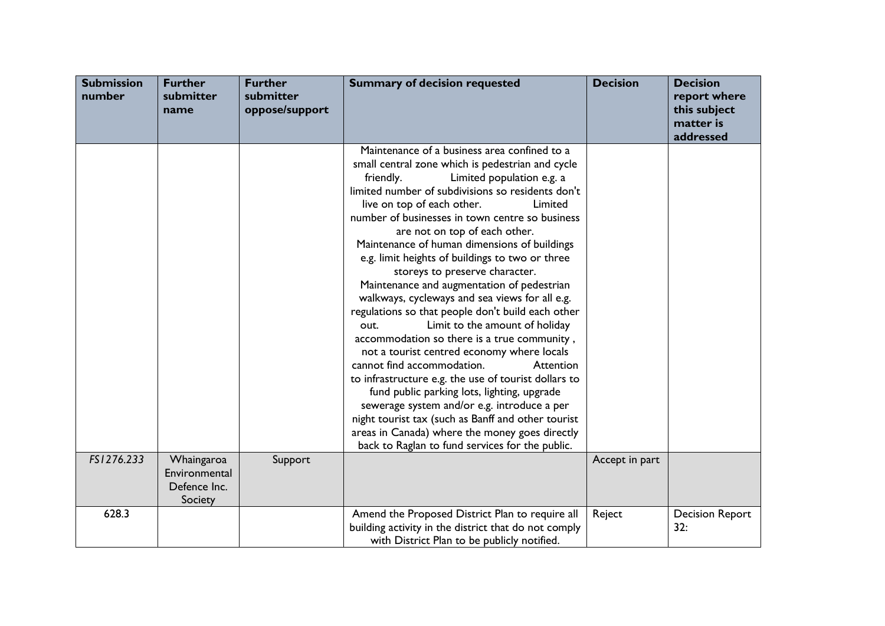| <b>Submission</b><br>number | <b>Further</b><br>submitter<br>name                    | <b>Further</b><br>submitter<br>oppose/support | <b>Summary of decision requested</b>                                                                                                                                                                                                                                                                                                                                                                                                                                                                                                                                                                                                                                                                                                                                                                                                                                                                                                                                                                                                                                                                                      | <b>Decision</b> | <b>Decision</b><br>report where<br>this subject<br>matter is<br>addressed |
|-----------------------------|--------------------------------------------------------|-----------------------------------------------|---------------------------------------------------------------------------------------------------------------------------------------------------------------------------------------------------------------------------------------------------------------------------------------------------------------------------------------------------------------------------------------------------------------------------------------------------------------------------------------------------------------------------------------------------------------------------------------------------------------------------------------------------------------------------------------------------------------------------------------------------------------------------------------------------------------------------------------------------------------------------------------------------------------------------------------------------------------------------------------------------------------------------------------------------------------------------------------------------------------------------|-----------------|---------------------------------------------------------------------------|
|                             |                                                        |                                               | Maintenance of a business area confined to a<br>small central zone which is pedestrian and cycle<br>Limited population e.g. a<br>friendly.<br>limited number of subdivisions so residents don't<br>live on top of each other.<br>Limited<br>number of businesses in town centre so business<br>are not on top of each other.<br>Maintenance of human dimensions of buildings<br>e.g. limit heights of buildings to two or three<br>storeys to preserve character.<br>Maintenance and augmentation of pedestrian<br>walkways, cycleways and sea views for all e.g.<br>regulations so that people don't build each other<br>Limit to the amount of holiday<br>out.<br>accommodation so there is a true community,<br>not a tourist centred economy where locals<br>cannot find accommodation.<br>Attention<br>to infrastructure e.g. the use of tourist dollars to<br>fund public parking lots, lighting, upgrade<br>sewerage system and/or e.g. introduce a per<br>night tourist tax (such as Banff and other tourist<br>areas in Canada) where the money goes directly<br>back to Raglan to fund services for the public. |                 |                                                                           |
| FS1276.233                  | Whaingaroa<br>Environmental<br>Defence Inc.<br>Society | Support                                       |                                                                                                                                                                                                                                                                                                                                                                                                                                                                                                                                                                                                                                                                                                                                                                                                                                                                                                                                                                                                                                                                                                                           | Accept in part  |                                                                           |
| 628.3                       |                                                        |                                               | Amend the Proposed District Plan to require all<br>building activity in the district that do not comply<br>with District Plan to be publicly notified.                                                                                                                                                                                                                                                                                                                                                                                                                                                                                                                                                                                                                                                                                                                                                                                                                                                                                                                                                                    | Reject          | <b>Decision Report</b><br>32:                                             |